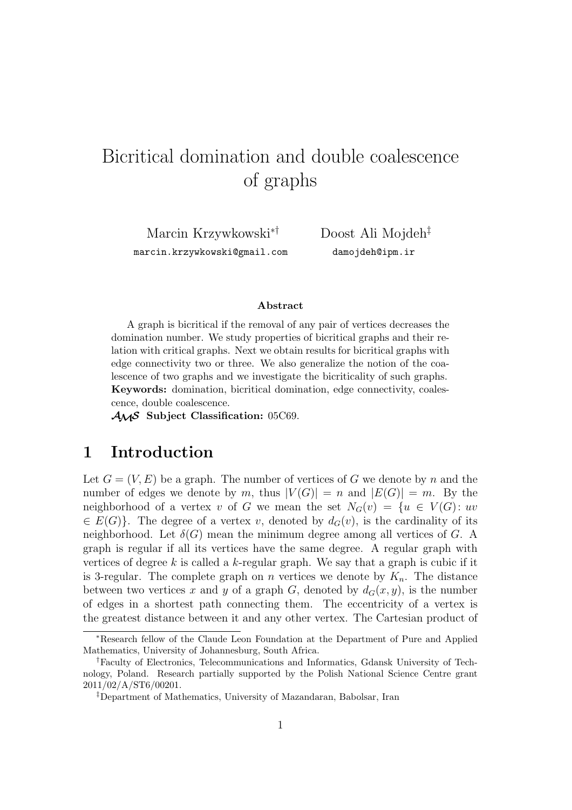# Bicritical domination and double coalescence of graphs

Marcin Krzywkowski∗† marcin.krzywkowski@gmail.com

Doost Ali Mojdeh‡ damojdeh@ipm.ir

#### **Abstract**

A graph is bicritical if the removal of any pair of vertices decreases the domination number. We study properties of bicritical graphs and their relation with critical graphs. Next we obtain results for bicritical graphs with edge connectivity two or three. We also generalize the notion of the coalescence of two graphs and we investigate the bicriticality of such graphs. **Keywords:** domination, bicritical domination, edge connectivity, coalescence, double coalescence.

AMS **Subject Classification:** 05C69.

### **1 Introduction**

Let  $G = (V, E)$  be a graph. The number of vertices of G we denote by n and the number of edges we denote by m, thus  $|V(G)| = n$  and  $|E(G)| = m$ . By the neighborhood of a vertex v of G we mean the set  $N_G(v) = \{u \in V(G): uv$  $\in E(G)$ . The degree of a vertex v, denoted by  $d_G(v)$ , is the cardinality of its neighborhood. Let  $\delta(G)$  mean the minimum degree among all vertices of G. A graph is regular if all its vertices have the same degree. A regular graph with vertices of degree  $k$  is called a  $k$ -regular graph. We say that a graph is cubic if it is 3-regular. The complete graph on n vertices we denote by  $K_n$ . The distance between two vertices x and y of a graph G, denoted by  $d_G(x, y)$ , is the number of edges in a shortest path connecting them. The eccentricity of a vertex is the greatest distance between it and any other vertex. The Cartesian product of

<sup>∗</sup>Research fellow of the Claude Leon Foundation at the Department of Pure and Applied Mathematics, University of Johannesburg, South Africa.

<sup>†</sup>Faculty of Electronics, Telecommunications and Informatics, Gdansk University of Technology, Poland. Research partially supported by the Polish National Science Centre grant 2011/02/A/ST6/00201.

<sup>‡</sup>Department of Mathematics, University of Mazandaran, Babolsar, Iran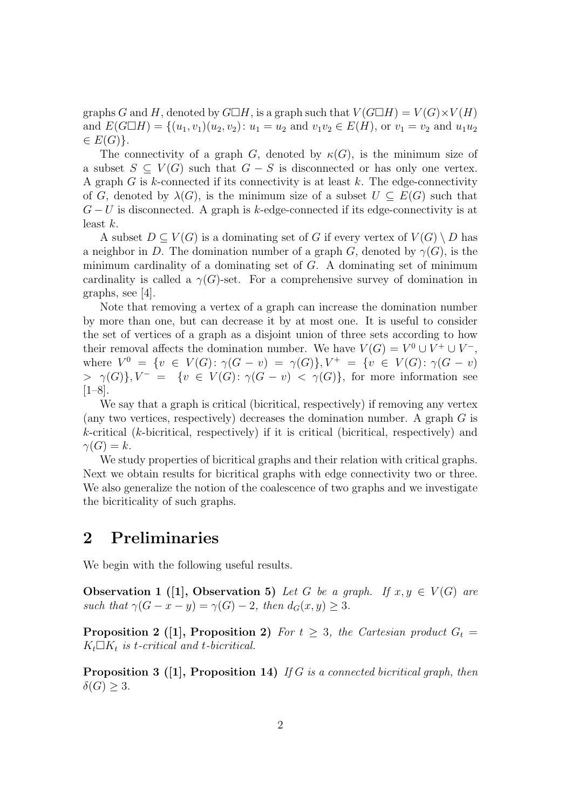graphs G and H, denoted by  $G \Box H$ , is a graph such that  $V(G \Box H) = V(G) \times V(H)$ and  $E(G \Box H) = \{(u_1, v_1)(u_2, v_2): u_1 = u_2 \text{ and } v_1v_2 \in E(H), \text{ or } v_1 = v_2 \text{ and } u_1u_2$  $\in E(G)$ .

The connectivity of a graph G, denoted by  $\kappa(G)$ , is the minimum size of a subset  $S \subseteq V(G)$  such that  $G - S$  is disconnected or has only one vertex. A graph  $G$  is  $k$ -connected if its connectivity is at least  $k$ . The edge-connectivity of G, denoted by  $\lambda(G)$ , is the minimum size of a subset  $U \subseteq E(G)$  such that  $G-U$  is disconnected. A graph is k-edge-connected if its edge-connectivity is at least  $k$ .

A subset  $D \subseteq V(G)$  is a dominating set of G if every vertex of  $V(G) \setminus D$  has a neighbor in D. The domination number of a graph G, denoted by  $\gamma(G)$ , is the minimum cardinality of a dominating set of  $G$ . A dominating set of minimum cardinality is called a  $\gamma(G)$ -set. For a comprehensive survey of domination in graphs, see [4].

Note that removing a vertex of a graph can increase the domination number by more than one, but can decrease it by at most one. It is useful to consider the set of vertices of a graph as a disjoint union of three sets according to how their removal affects the domination number. We have  $V(G) = V^0 \cup V^+ \cup V^-$ , where  $V^0 = \{v \in V(G) : \gamma(G - v) = \gamma(G)\}, V^+ = \{v \in V(G) : \gamma(G - v)$  $> \gamma(G)$ ,  $V^- = \{v \in V(G) : \gamma(G - v) < \gamma(G) \}$ , for more information see [1–8].

We say that a graph is critical (bicritical, respectively) if removing any vertex (any two vertices, respectively) decreases the domination number. A graph  $G$  is  $k$ -critical ( $k$ -bicritical, respectively) if it is critical (bicritical, respectively) and  $\gamma(G) = k.$ 

We study properties of bicritical graphs and their relation with critical graphs. Next we obtain results for bicritical graphs with edge connectivity two or three. We also generalize the notion of the coalescence of two graphs and we investigate the bicriticality of such graphs.

### **2 Preliminaries**

We begin with the following useful results.

**Observation 1** ([1], Observation 5) Let G be a graph. If  $x, y \in V(G)$  are *such that*  $\gamma(G - x - y) = \gamma(G) - 2$ *, then*  $d_G(x, y) \geq 3$ *.* 

**Proposition 2** ([1], **Proposition 2)** *For*  $t \geq 3$ *, the Cartesian product*  $G_t$  $K_t \Box K_t$  *is t-critical and t-bicritical.* 

**Proposition 3 ([1], Proposition 14)** *If* G *is a connected bicritical graph, then*  $\delta(G) \geq 3$ .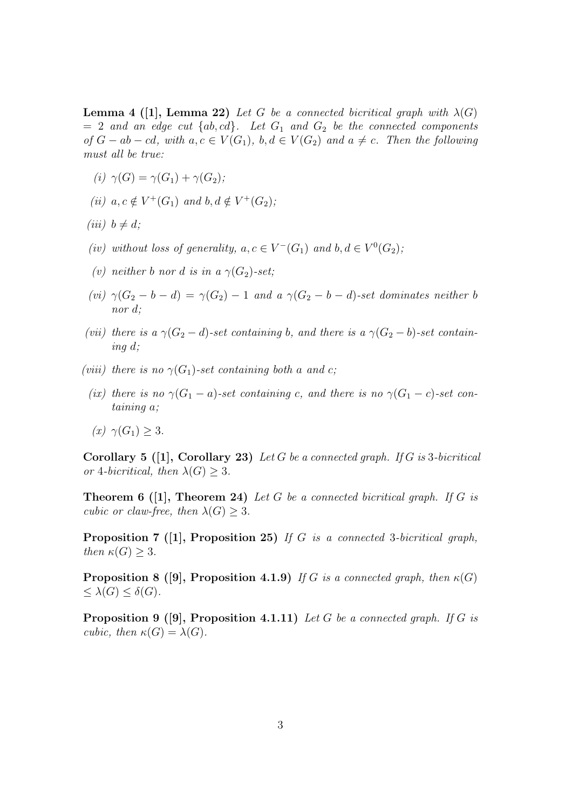**Lemma 4 ([1], Lemma 22)** *Let* G *be a connected bicritical graph with*  $\lambda(G)$  $= 2$  *and an edge cut*  $\{ab, cd\}$ . Let  $G_1$  *and*  $G_2$  *be the connected components of*  $G - ab - cd$ , with  $a, c \in V(G_1)$ ,  $b, d \in V(G_2)$  and  $a \neq c$ . Then the following *must all be true:*

- $(i)$   $\gamma(G) = \gamma(G_1) + \gamma(G_2)$ ;
- *(ii)*  $a, c \notin V^+(G_1)$  *and*  $b, d \notin V^+(G_2)$ *;*
- *(iii)*  $b \neq d$ ;
- (*iv*) without loss of generality,  $a, c \in V^-(G_1)$  and  $b, d \in V^0(G_2)$ ;
- *(v)* neither b nor d is in a  $\gamma(G_2)$ -set;
- *(vi)*  $\gamma(G_2 b d) = \gamma(G_2) 1$  *and a*  $\gamma(G_2 b d)$ *-set dominates neither* b *nor* d*;*
- *(vii)* there is a  $\gamma(G_2 d)$ -set containing b, and there is a  $\gamma(G_2 b)$ -set contain*ing* d*;*
- *(viii)* there is no  $\gamma(G_1)$ -set containing both a and c;
- (ix) there is no  $\gamma(G_1 a)$ -set containing c, and there is no  $\gamma(G_1 c)$ -set con*taining* a*;*
- *(x)*  $\gamma(G_1) > 3$ *.*

**Corollary 5 ([1], Corollary 23)** *Let* G *be a connected graph. If* G *is* 3*-bicritical or* 4*-bicritical, then*  $\lambda(G) > 3$ *.* 

**Theorem 6 ([1], Theorem 24)** *Let* G *be a connected bicritical graph. If* G *is cubic or claw-free, then*  $\lambda(G) \geq 3$ *.* 

**Proposition 7 ([1], Proposition 25)** *If* G *is a connected* 3*-bicritical graph, then*  $\kappa(G) \geq 3$ *.* 

**Proposition 8 ([9], Proposition 4.1.9)** *If* G *is a connected graph, then*  $\kappa(G)$  $\leq \lambda(G) \leq \delta(G)$ .

**Proposition 9 ([9], Proposition 4.1.11)** *Let* G *be a connected graph. If* G *is cubic, then*  $\kappa(G) = \lambda(G)$ *.*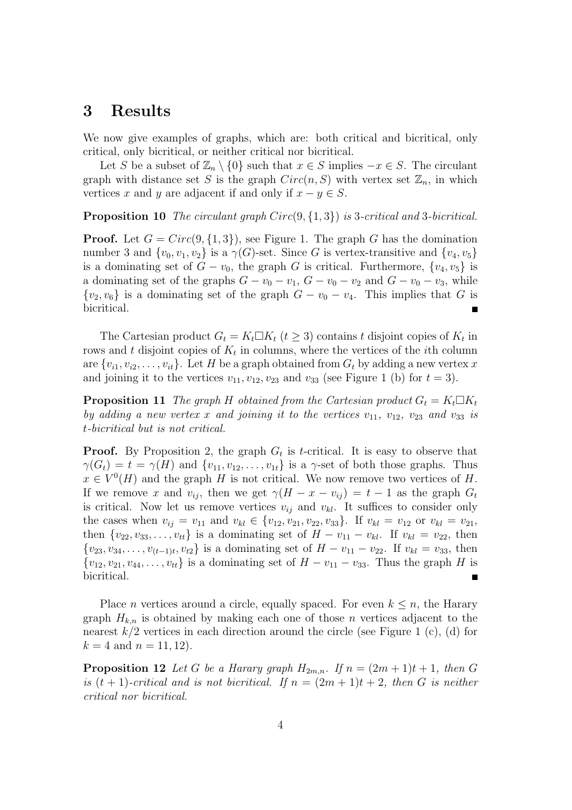#### **3 Results**

We now give examples of graphs, which are: both critical and bicritical, only critical, only bicritical, or neither critical nor bicritical.

Let S be a subset of  $\mathbb{Z}_n \setminus \{0\}$  such that  $x \in S$  implies  $-x \in S$ . The circulant graph with distance set S is the graph  $Circ(n, S)$  with vertex set  $\mathbb{Z}_n$ , in which vertices x and y are adjacent if and only if  $x - y \in S$ .

**Proposition 10** *The circulant graph* Circ(9, {1, 3}) *is* 3*-critical and* 3*-bicritical.*

**Proof.** Let  $G = Circ(9, \{1, 3\})$ , see Figure 1. The graph G has the domination number 3 and  $\{v_0, v_1, v_2\}$  is a  $\gamma(G)$ -set. Since G is vertex-transitive and  $\{v_4, v_5\}$ is a dominating set of  $G - v_0$ , the graph G is critical. Furthermore,  $\{v_4, v_5\}$  is a dominating set of the graphs  $G - v_0 - v_1$ ,  $G - v_0 - v_2$  and  $G - v_0 - v_3$ , while  $\{v_2, v_6\}$  is a dominating set of the graph  $G - v_0 - v_4$ . This implies that G is bicritical.

The Cartesian product  $G_t = K_t \square K_t$  ( $t \geq 3$ ) contains t disjoint copies of  $K_t$  in rows and t disjoint copies of  $K_t$  in columns, where the vertices of the *i*th column are  $\{v_{i1}, v_{i2}, \ldots, v_{it}\}.$  Let H be a graph obtained from  $G_t$  by adding a new vertex x and joining it to the vertices  $v_{11}, v_{12}, v_{23}$  and  $v_{33}$  (see Figure 1 (b) for  $t = 3$ ).

**Proposition 11** *The graph* H *obtained from the Cartesian product*  $G_t = K_t \Box K_t$ *by adding a new vertex* x and joining it to the vertices  $v_{11}$ ,  $v_{12}$ ,  $v_{23}$  and  $v_{33}$  is t*-bicritical but is not critical.*

**Proof.** By Proposition 2, the graph  $G_t$  is t-critical. It is easy to observe that  $\gamma(G_t) = t = \gamma(H)$  and  $\{v_{11}, v_{12}, \ldots, v_{1t}\}$  is a  $\gamma$ -set of both those graphs. Thus  $x \in V^0(H)$  and the graph H is not critical. We now remove two vertices of H. If we remove x and  $v_{ij}$ , then we get  $\gamma(H - x - v_{ij}) = t - 1$  as the graph  $G_t$ is critical. Now let us remove vertices  $v_{ij}$  and  $v_{kl}$ . It suffices to consider only the cases when  $v_{ij} = v_{11}$  and  $v_{kl} \in \{v_{12}, v_{21}, v_{22}, v_{33}\}.$  If  $v_{kl} = v_{12}$  or  $v_{kl} = v_{21}$ , then  $\{v_{22}, v_{33}, \ldots, v_{tt}\}$  is a dominating set of  $H - v_{11} - v_{kl}$ . If  $v_{kl} = v_{22}$ , then  $\{v_{23}, v_{34}, \ldots, v_{(t-1)t}, v_{t2}\}$  is a dominating set of  $H - v_{11} - v_{22}$ . If  $v_{kl} = v_{33}$ , then  ${v_{12}, v_{21}, v_{44}, \ldots, v_{tt}}$  is a dominating set of  $H - v_{11} - v_{33}$ . Thus the graph H is bicritical.

Place *n* vertices around a circle, equally spaced. For even  $k \leq n$ , the Harary graph  $H_{k,n}$  is obtained by making each one of those n vertices adjacent to the nearest  $k/2$  vertices in each direction around the circle (see Figure 1 (c), (d) for  $k = 4$  and  $n = 11, 12$ .

**Proposition 12** Let G be a Harary graph  $H_{2m,n}$ . If  $n = (2m+1)t + 1$ , then G *is*  $(t + 1)$ -critical and *is not bicritical.* If  $n = (2m + 1)t + 2$ , then G *is neither critical nor bicritical.*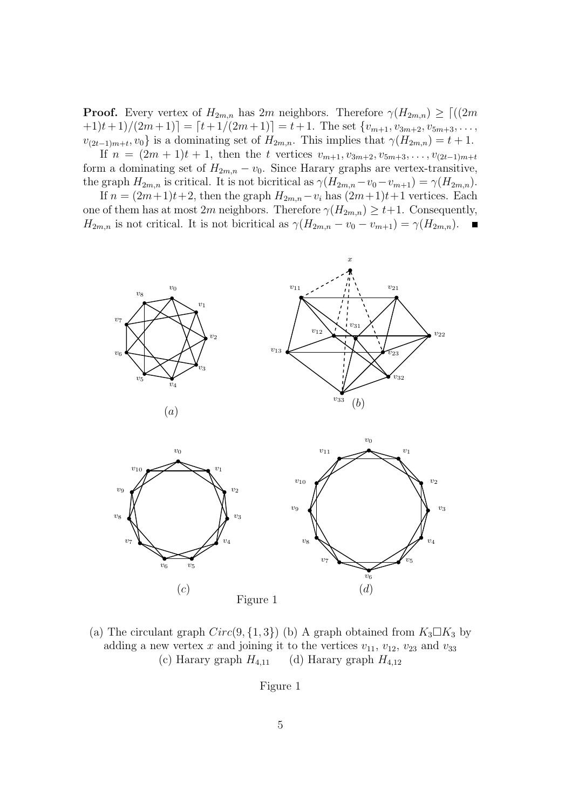**Proof.** Every vertex of  $H_{2m,n}$  has  $2m$  neighbors. Therefore  $\gamma(H_{2m,n}) \geq \lceil (2m \rceil - 1) \rceil$  $+1)t+1/(2m+1)$  =  $[t+1/(2m+1)] = t+1$ . The set  $\{v_{m+1}, v_{3m+2}, v_{5m+3}, \ldots,$  $v_{(2t-1)m+t}, v_0$  is a dominating set of  $H_{2m,n}$ . This implies that  $\gamma(H_{2m,n}) = t+1$ .

If  $n = (2m + 1)t + 1$ , then the t vertices  $v_{m+1}, v_{3m+2}, v_{5m+3}, \ldots, v_{(2t-1)m+t}$ form a dominating set of  $H_{2m,n} - v_0$ . Since Harary graphs are vertex-transitive, the graph  $H_{2m,n}$  is critical. It is not bicritical as  $\gamma(H_{2m,n}-v_0-v_{m+1})=\gamma(H_{2m,n})$ .

If  $n = (2m+1)t+2$ , then the graph  $H_{2m,n}-v_i$  has  $(2m+1)t+1$  vertices. Each one of them has at most 2m neighbors. Therefore  $\gamma(H_{2m,n}) \geq t+1$ . Consequently,  $H_{2m,n}$  is not critical. It is not bicritical as  $\gamma(H_{2m,n} - v_0 - v_{m+1}) = \gamma(H_{2m,n})$ .



(a) The circulant graph  $Circ(9, \{1, 3\})$  (b) A graph obtained from  $K_3 \square K_3$  by adding a new vertex x and joining it to the vertices  $v_{11}$ ,  $v_{12}$ ,  $v_{23}$  and  $v_{33}$ (c) Harary graph  $H_{4,11}$  (d) Harary graph  $H_{4,12}$ 

Figure 1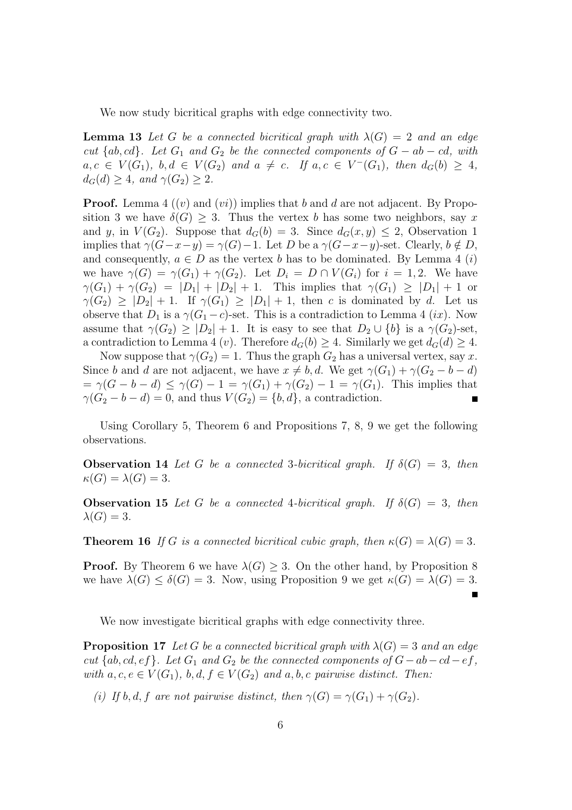We now study bicritical graphs with edge connectivity two.

**Lemma 13** Let G be a connected bicritical graph with  $\lambda(G) = 2$  and an edge *cut* { $ab, cd$ }. Let  $G_1$  *and*  $G_2$  *be the connected components of*  $G - ab - cd$ , with  $a, c \in V(G_1), b, d \in V(G_2)$  and  $a \neq c$ . If  $a, c \in V^-(G_1)$ , then  $d_G(b) \geq 4$ ,  $d_G(d) \geq 4$ *, and*  $\gamma(G_2) \geq 2$ *.* 

**Proof.** Lemma 4  $((v)$  and  $(vi))$  implies that b and d are not adjacent. By Proposition 3 we have  $\delta(G) > 3$ . Thus the vertex b has some two neighbors, say x and y, in  $V(G_2)$ . Suppose that  $d_G(b) = 3$ . Since  $d_G(x, y) \leq 2$ , Observation 1 implies that  $\gamma(G-x-y) = \gamma(G)-1$ . Let D be a  $\gamma(G-x-y)$ -set. Clearly,  $b \notin D$ , and consequently,  $a \in D$  as the vertex b has to be dominated. By Lemma 4 (i) we have  $\gamma(G) = \gamma(G_1) + \gamma(G_2)$ . Let  $D_i = D \cap V(G_i)$  for  $i = 1, 2$ . We have  $\gamma(G_1) + \gamma(G_2) = |D_1| + |D_2| + 1$ . This implies that  $\gamma(G_1) \geq |D_1| + 1$  or  $\gamma(G_2) \geq |D_2| + 1$ . If  $\gamma(G_1) \geq |D_1| + 1$ , then c is dominated by d. Let us observe that  $D_1$  is a  $\gamma(G_1 - c)$ -set. This is a contradiction to Lemma 4 (ix). Now assume that  $\gamma(G_2) \geq |D_2| + 1$ . It is easy to see that  $D_2 \cup \{b\}$  is a  $\gamma(G_2)$ -set, a contradiction to Lemma 4 (v). Therefore  $d_G(b) \geq 4$ . Similarly we get  $d_G(d) \geq 4$ .

Now suppose that  $\gamma(G_2) = 1$ . Thus the graph  $G_2$  has a universal vertex, say x. Since b and d are not adjacent, we have  $x \neq b, d$ . We get  $\gamma(G_1) + \gamma(G_2 - b - d)$  $=\gamma(G-b-d)\leq \gamma(G)-1=\gamma(G_1)+\gamma(G_2)-1=\gamma(G_1).$  This implies that  $\gamma(G_2 - b - d) = 0$ , and thus  $V(G_2) = \{b, d\}$ , a contradiction.

Using Corollary 5, Theorem 6 and Propositions 7, 8, 9 we get the following observations.

**Observation 14** *Let* G *be a connected* 3-*bicritical graph.* If  $\delta(G) = 3$ , then  $\kappa(G) = \lambda(G) = 3.$ 

**Observation 15** *Let* G *be a connected* 4-*bicritical graph.* If  $\delta(G) = 3$ , then  $\lambda(G) = 3.$ 

**Theorem 16** *If* G *is a connected bicritical cubic graph, then*  $\kappa(G) = \lambda(G) = 3$ *.* 

**Proof.** By Theorem 6 we have  $\lambda(G) \geq 3$ . On the other hand, by Proposition 8 we have  $\lambda(G) \leq \delta(G) = 3$ . Now, using Proposition 9 we get  $\kappa(G) = \lambda(G) = 3$ .

We now investigate bicritical graphs with edge connectivity three.

**Proposition 17** *Let* G *be a connected bicritical graph with*  $\lambda(G) = 3$  *and an edge cut* {ab, cd, ef}. Let  $G_1$  and  $G_2$  be the connected components of  $G - ab - cd - ef$ , *with*  $a, c, e \in V(G_1), b, d, f \in V(G_2)$  *and*  $a, b, c$  *pairwise distinct. Then:* 

*(i)* If b, d, f are not pairwise distinct, then  $\gamma(G) = \gamma(G_1) + \gamma(G_2)$ .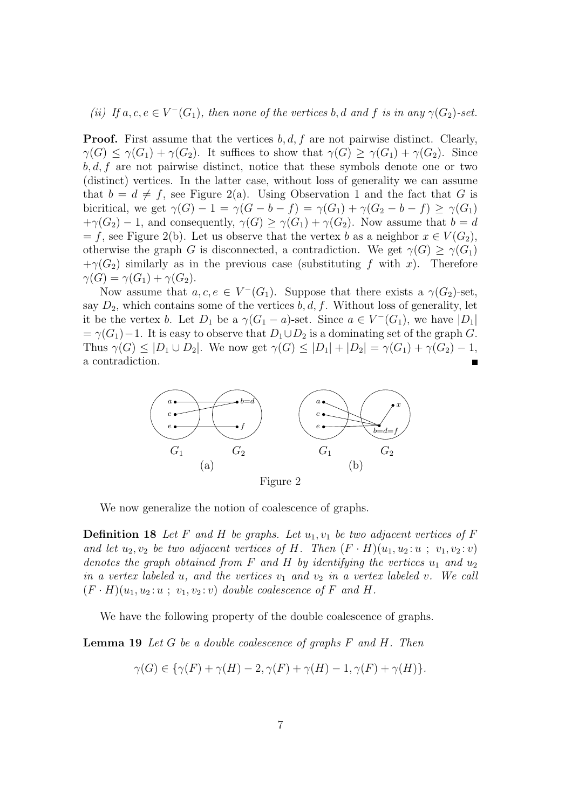(*ii*) If  $a, c, e \in V^-(G_1)$ , then none of the vertices b, d and f is in any  $\gamma(G_2)$ -set.

**Proof.** First assume that the vertices  $b, d, f$  are not pairwise distinct. Clearly,  $\gamma(G) \leq \gamma(G_1) + \gamma(G_2)$ . It suffices to show that  $\gamma(G) \geq \gamma(G_1) + \gamma(G_2)$ . Since  $b, d, f$  are not pairwise distinct, notice that these symbols denote one or two (distinct) vertices. In the latter case, without loss of generality we can assume that  $b = d \neq f$ , see Figure 2(a). Using Observation 1 and the fact that G is bicritical, we get  $\gamma(G) - 1 = \gamma(G - b - f) = \gamma(G_1) + \gamma(G_2 - b - f) \geq \gamma(G_1)$  $+\gamma(G_2) - 1$ , and consequently,  $\gamma(G) \geq \gamma(G_1) + \gamma(G_2)$ . Now assume that  $b = d$  $= f$ , see Figure 2(b). Let us observe that the vertex b as a neighbor  $x \in V(G_2)$ , otherwise the graph G is disconnected, a contradiction. We get  $\gamma(G) > \gamma(G_1)$  $+\gamma(G_2)$  similarly as in the previous case (substituting f with x). Therefore  $\gamma(G) = \gamma(G_1) + \gamma(G_2).$ 

Now assume that  $a, c, e \in V^-(G_1)$ . Suppose that there exists a  $\gamma(G_2)$ -set, say  $D_2$ , which contains some of the vertices  $b, d, f$ . Without loss of generality, let it be the vertex b. Let  $D_1$  be a  $\gamma(G_1 - a)$ -set. Since  $a \in V^-(G_1)$ , we have  $|D_1|$  $=\gamma(G_1)-1$ . It is easy to observe that  $D_1 \cup D_2$  is a dominating set of the graph G. Thus  $\gamma(G) \leq |D_1 \cup D_2|$ . We now get  $\gamma(G) \leq |D_1| + |D_2| = \gamma(G_1) + \gamma(G_2) - 1$ , a contradiction.



We now generalize the notion of coalescence of graphs.

**Definition 18** Let F and H be graphs. Let  $u_1, v_1$  be two adjacent vertices of F *and let*  $u_2, v_2$  *be two adjacent vertices of H. Then*  $(F \cdot H)(u_1, u_2 : u ; v_1, v_2 : v)$ *denotes the graph obtained from* F and H *by identifying the vertices*  $u_1$  and  $u_2$ *in a vertex labeled* u, and the vertices  $v_1$  and  $v_2$  *in a vertex labeled* v. We call  $(F \cdot H)(u_1, u_2 : u ; v_1, v_2 : v)$  *double coalescence of* F *and* H.

We have the following property of the double coalescence of graphs.

**Lemma 19** *Let* G *be a double coalescence of graphs* F *and* H*. Then*

$$
\gamma(G) \in \{ \gamma(F) + \gamma(H) - 2, \gamma(F) + \gamma(H) - 1, \gamma(F) + \gamma(H) \}.
$$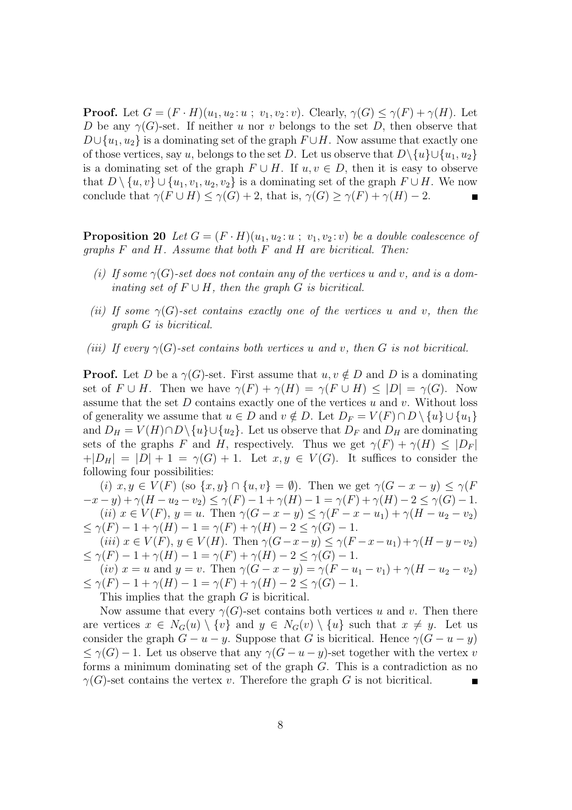**Proof.** Let  $G = (F \cdot H)(u_1, u_2 : u ; v_1, v_2 : v)$ . Clearly,  $\gamma(G) \leq \gamma(F) + \gamma(H)$ . Let D be any  $\gamma(G)$ -set. If neither u nor v belongs to the set D, then observe that  $D \cup \{u_1, u_2\}$  is a dominating set of the graph  $F \cup H$ . Now assume that exactly one of those vertices, say u, belongs to the set D. Let us observe that  $D\setminus\{u\}\cup\{u_1, u_2\}$ is a dominating set of the graph  $F \cup H$ . If  $u, v \in D$ , then it is easy to observe that  $D \setminus \{u, v\} \cup \{u_1, v_1, u_2, v_2\}$  is a dominating set of the graph  $F \cup H$ . We now conclude that  $\gamma(F \cup H) \leq \gamma(G) + 2$ , that is,  $\gamma(G) \geq \gamma(F) + \gamma(H) - 2$ .

**Proposition 20** *Let*  $G = (F \cdot H)(u_1, u_2 : u ; v_1, v_2 : v)$  *be a double coalescence of graphs* F *and* H*. Assume that both* F *and* H *are bicritical. Then:*

- *(i)* If some  $\gamma(G)$ -set does not contain any of the vertices u and v, and is a dom*inating set of*  $F \cup H$ *, then the graph* G *is bicritical.*
- *(ii)* If some  $\gamma(G)$ -set contains exactly one of the vertices u and v, then the *graph* G *is bicritical.*
- *(iii) If every*  $\gamma(G)$ -set contains both vertices u and v, then G is not bicritical.

**Proof.** Let D be a  $\gamma(G)$ -set. First assume that  $u, v \notin D$  and D is a dominating set of  $F \cup H$ . Then we have  $\gamma(F) + \gamma(H) = \gamma(F \cup H) \leq |D| = \gamma(G)$ . Now assume that the set  $D$  contains exactly one of the vertices  $u$  and  $v$ . Without loss of generality we assume that  $u \in D$  and  $v \notin D$ . Let  $D_F = V(F) \cap D \setminus \{u\} \cup \{u_1\}$ and  $D_H = V(H) \cap D \setminus \{u\} \cup \{u_2\}$ . Let us observe that  $D_F$  and  $D_H$  are dominating sets of the graphs F and H, respectively. Thus we get  $\gamma(F) + \gamma(H) \leq |D_F|$  $+|D_H| = |D| + 1 = \gamma(G) + 1$ . Let  $x, y \in V(G)$ . It suffices to consider the following four possibilities:

(i)  $x, y \in V(F)$  (so  $\{x, y\} \cap \{u, v\} = \emptyset$ ). Then we get  $\gamma(G - x - y) \leq \gamma(F)$  $(x-x-y)+\gamma(H-u_2-v_2) \leq \gamma(F)-1+\gamma(H)-1=\gamma(F)+\gamma(H)-2 \leq \gamma(G)-1.$ (ii)  $x \in V(F)$ ,  $y = u$ . Then  $\gamma(G - x - y) \leq \gamma(F - x - u_1) + \gamma(H - u_2 - v_2)$  $\leq \gamma(F) - 1 + \gamma(H) - 1 = \gamma(F) + \gamma(H) - 2 \leq \gamma(G) - 1.$ 

(iii)  $x \in V(F)$ ,  $y \in V(H)$ . Then  $\gamma(G-x-y) \leq \gamma(F-x-u_1)+\gamma(H-y-v_2)$  $\leq \gamma(F) - 1 + \gamma(H) - 1 = \gamma(F) + \gamma(H) - 2 \leq \gamma(G) - 1.$ 

(iv)  $x = u$  and  $y = v$ . Then  $\gamma(G - x - y) = \gamma(F - u_1 - v_1) + \gamma(H - u_2 - v_2)$  $\leq \gamma(F) - 1 + \gamma(H) - 1 = \gamma(F) + \gamma(H) - 2 \leq \gamma(G) - 1.$ 

This implies that the graph G is bicritical.

Now assume that every  $\gamma(G)$ -set contains both vertices u and v. Then there are vertices  $x \in N_G(u) \setminus \{v\}$  and  $y \in N_G(v) \setminus \{u\}$  such that  $x \neq y$ . Let us consider the graph  $G - u - y$ . Suppose that G is bicritical. Hence  $\gamma(G - u - y)$  $\leq \gamma(G)-1$ . Let us observe that any  $\gamma(G-u-y)$ -set together with the vertex v forms a minimum dominating set of the graph G. This is a contradiction as no  $\gamma(G)$ -set contains the vertex v. Therefore the graph G is not bicritical.